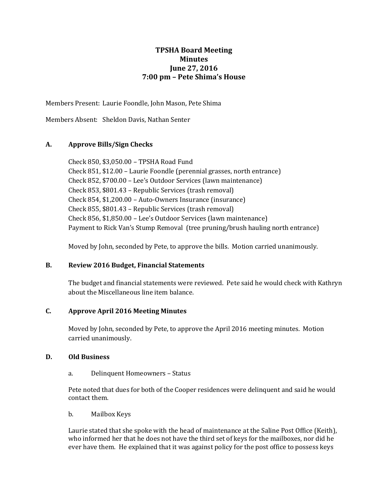# **TPSHA Board Meeting Minutes June 27, 2016 7:00 pm – Pete Shima's House**

Members Present: Laurie Foondle, John Mason, Pete Shima

Members Absent: Sheldon Davis, Nathan Senter

## **A. Approve Bills/Sign Checks**

Check 850, \$3,050.00 – TPSHA Road Fund Check 851, \$12.00 – Laurie Foondle (perennial grasses, north entrance) Check 852, \$700.00 – Lee's Outdoor Services (lawn maintenance) Check 853, \$801.43 – Republic Services (trash removal) Check 854, \$1,200.00 – Auto-Owners Insurance (insurance) Check 855, \$801.43 – Republic Services (trash removal) Check 856, \$1,850.00 – Lee's Outdoor Services (lawn maintenance) Payment to Rick Van's Stump Removal (tree pruning/brush hauling north entrance)

Moved by John, seconded by Pete, to approve the bills. Motion carried unanimously.

#### **B. Review 2016 Budget, Financial Statements**

The budget and financial statements were reviewed. Pete said he would check with Kathryn about the Miscellaneous line item balance.

### **C. Approve April 2016 Meeting Minutes**

Moved by John, seconded by Pete, to approve the April 2016 meeting minutes. Motion carried unanimously.

#### **D. Old Business**

a. Delinquent Homeowners – Status

Pete noted that dues for both of the Cooper residences were delinquent and said he would contact them.

b. Mailbox Keys

Laurie stated that she spoke with the head of maintenance at the Saline Post Office (Keith), who informed her that he does not have the third set of keys for the mailboxes, nor did he ever have them. He explained that it was against policy for the post office to possess keys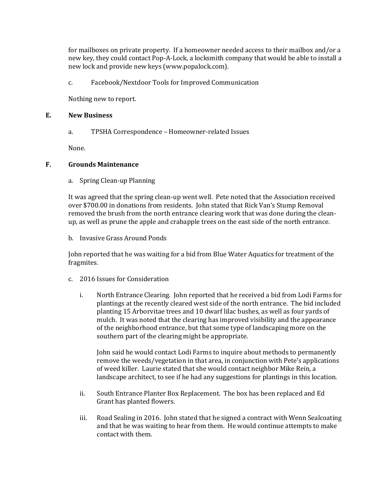for mailboxes on private property. If a homeowner needed access to their mailbox and/or a new key, they could contact Pop-A-Lock, a locksmith company that would be able to install a new lock and provide new keys (www.popalock.com).

c. Facebook/Nextdoor Tools for Improved Communication

Nothing new to report.

#### **E. New Business**

a. TPSHA Correspondence – Homeowner-related Issues

None.

#### **F. Grounds Maintenance**

a. Spring Clean-up Planning

It was agreed that the spring clean-up went well. Pete noted that the Association received over \$700.00 in donations from residents. John stated that Rick Van's Stump Removal removed the brush from the north entrance clearing work that was done during the cleanup, as well as prune the apple and crabapple trees on the east side of the north entrance.

b. Invasive Grass Around Ponds

John reported that he was waiting for a bid from Blue Water Aquatics for treatment of the fragmites.

- c. 2016 Issues for Consideration
	- i. North Entrance Clearing. John reported that he received a bid from Lodi Farms for plantings at the recently cleared west side of the north entrance. The bid included planting 15 Arborvitae trees and 10 dwarf lilac bushes, as well as four yards of mulch. It was noted that the clearing has improved visibility and the appearance of the neighborhood entrance, but that some type of landscaping more on the southern part of the clearing might be appropriate.

John said he would contact Lodi Farms to inquire about methods to permanently remove the weeds/vegetation in that area, in conjunction with Pete's applications of weed killer. Laurie stated that she would contact neighbor Mike Rein, a landscape architect, to see if he had any suggestions for plantings in this location.

- ii. South Entrance Planter Box Replacement. The box has been replaced and Ed Grant has planted flowers.
- iii. Road Sealing in 2016. John stated that he signed a contract with Wenn Sealcoating and that he was waiting to hear from them. He would continue attempts to make contact with them.